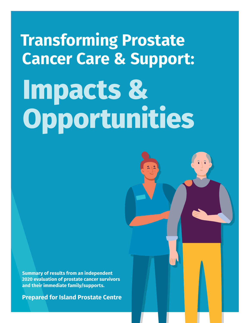# **Transforming Prostate Cancer Care & Support: Impacts & Opportunities**

**Summary of results from an independent 2020 evaluation of prostate cancer survivors and their immediate family/supports.**

**Prepared for Island Prostate Centre**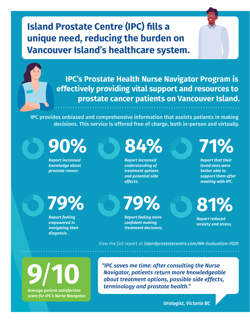**Island Prostate Centre (IPC) fills a unique need, reducing the burden on Vancouver Island's healthcare system.** 

> **IPC's Prostate Health Nurse Navigator Program is effectively providing vital support and resources to prostate cancer patients on Vancouver Island.**

**IPC provides unbiased and comprehensive information that assists patients in making decisions. This service is offered free of charge, both in-person and virtually.** 

**90%**

*Report increased knowledge about prostate cancer.* 

**84%**

*Report increased understanding of treatment options and potential side effects.*

**71%**

*Report that their loved ones were better able to support them after meeting with IPC.*

**79%**

*Report feeling empowered in navigating their diagnosis .*

**79%**

*Report feeling more confident making treatment decisions.* **81%**

*Report reduced anxiety and stress.*

*View the full report at [islandprostatecentre.com/NN-Evaluation-2020](https://islandprostatecentre.com/NN-Evaluation-2020)*

**9**/**10**

*Average patient satisfaction score for IPC's Nurse Navigator.* *"IPC saves me time: after consulting the Nurse Navigator, patients return more knowledgeable about treatment options, possible side effects, terminology and prostate health."*

*Urologist, Victoria BC*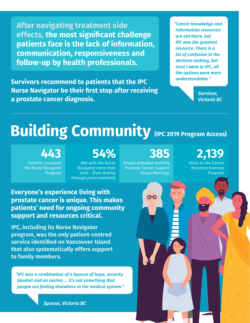**After navigating treatment side effects, the most significant challenge patients face is the lack of information, communication, responsiveness and follow-up by health professionals.**

**Survivors recommend to patients that the IPC Nurse Navigator be their first stop after receiving a prostate cancer diagnosis.** 

*"Cancer knowledge and information resources are out there, but IPC was the greatest resource. There is a lot of confusion in the decision making, but once I went to IPC, all the options were more understandable."*

> *Survivor, Victoria BC*

# **Building Community** (IPC 2019 Program Access)

#### **443**

*Patients accessed the Nurse Navigator Program.*

# **54%**

*Met with the Nurse Navigator more than once – from testing through post-treatment.*

# **385**

*People attended monthly Prostate Cancer Support Group Meetings.*

 $\overline{O}O$ 

#### **2,139**  *Visits to the Cancer*

*Recovery Exercise Program.*

**Everyone's experience living with prostate cancer is unique. This makes patients' need for ongoing community support and resources critical.**

**IPC, including its Nurse Navigator program, was the** *only* **patient-centred service identified on Vancouver Island that also systematically offers support to family members.**

*"IPC was a combination of a beacon of hope, security blanket and an anchor … it's not something that people are finding elsewhere in the medical system."*

*Spouse, Victoria BC*